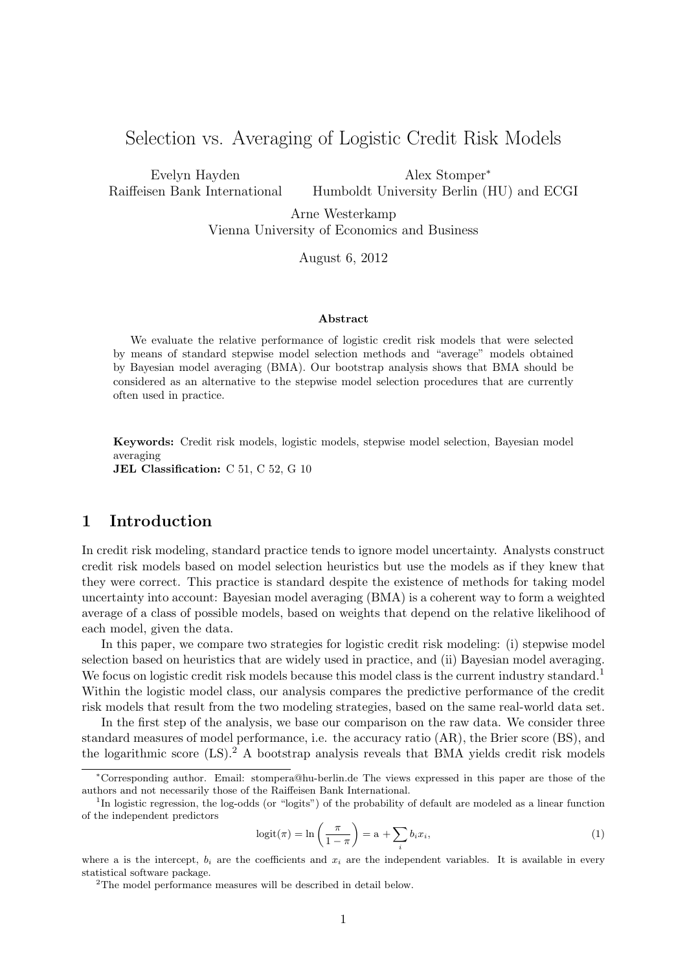# Selection vs. Averaging of Logistic Credit Risk Models

Evelyn Hayden Raiffeisen Bank International

Alex Stomper<sup>∗</sup> Humboldt University Berlin (HU) and ECGI

Arne Westerkamp Vienna University of Economics and Business

August 6, 2012

#### Abstract

We evaluate the relative performance of logistic credit risk models that were selected by means of standard stepwise model selection methods and "average" models obtained by Bayesian model averaging (BMA). Our bootstrap analysis shows that BMA should be considered as an alternative to the stepwise model selection procedures that are currently often used in practice.

Keywords: Credit risk models, logistic models, stepwise model selection, Bayesian model averaging

JEL Classification: C 51, C 52, G 10

## 1 Introduction

In credit risk modeling, standard practice tends to ignore model uncertainty. Analysts construct credit risk models based on model selection heuristics but use the models as if they knew that they were correct. This practice is standard despite the existence of methods for taking model uncertainty into account: Bayesian model averaging (BMA) is a coherent way to form a weighted average of a class of possible models, based on weights that depend on the relative likelihood of each model, given the data.

In this paper, we compare two strategies for logistic credit risk modeling: (i) stepwise model selection based on heuristics that are widely used in practice, and (ii) Bayesian model averaging. We focus on logistic credit risk models because this model class is the current industry standard.<sup>[1](#page-0-0)</sup> Within the logistic model class, our analysis compares the predictive performance of the credit risk models that result from the two modeling strategies, based on the same real-world data set.

In the first step of the analysis, we base our comparison on the raw data. We consider three standard measures of model performance, i.e. the accuracy ratio (AR), the Brier score (BS), and the logarithmic score  $(LS)$ .<sup>[2](#page-0-1)</sup> A bootstrap analysis reveals that BMA yields credit risk models

$$
logit(\pi) = \ln\left(\frac{\pi}{1-\pi}\right) = a + \sum_{i} b_i x_i,
$$
\n(1)

<sup>∗</sup>Corresponding author. Email: stompera@hu-berlin.de The views expressed in this paper are those of the authors and not necessarily those of the Raiffeisen Bank International.

<span id="page-0-0"></span><sup>&</sup>lt;sup>1</sup>In logistic regression, the log-odds (or "logits") of the probability of default are modeled as a linear function of the independent predictors

where a is the intercept,  $b_i$  are the coefficients and  $x_i$  are the independent variables. It is available in every statistical software package.

<span id="page-0-1"></span><sup>2</sup>The model performance measures will be described in detail below.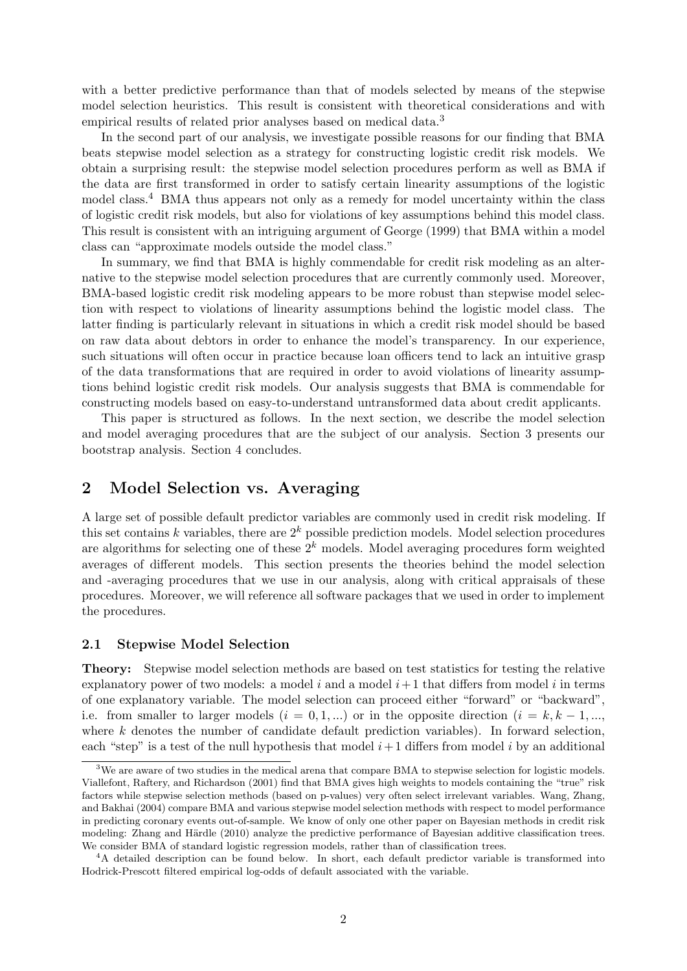with a better predictive performance than that of models selected by means of the stepwise model selection heuristics. This result is consistent with theoretical considerations and with empirical results of related prior analyses based on medical data.<sup>[3](#page-1-0)</sup>

In the second part of our analysis, we investigate possible reasons for our finding that BMA beats stepwise model selection as a strategy for constructing logistic credit risk models. We obtain a surprising result: the stepwise model selection procedures perform as well as BMA if the data are first transformed in order to satisfy certain linearity assumptions of the logistic model class.[4](#page-1-1) BMA thus appears not only as a remedy for model uncertainty within the class of logistic credit risk models, but also for violations of key assumptions behind this model class. This result is consistent with an intriguing argument of [George](#page-10-0) [\(1999\)](#page-10-0) that BMA within a model class can "approximate models outside the model class."

In summary, we find that BMA is highly commendable for credit risk modeling as an alternative to the stepwise model selection procedures that are currently commonly used. Moreover, BMA-based logistic credit risk modeling appears to be more robust than stepwise model selection with respect to violations of linearity assumptions behind the logistic model class. The latter finding is particularly relevant in situations in which a credit risk model should be based on raw data about debtors in order to enhance the model's transparency. In our experience, such situations will often occur in practice because loan officers tend to lack an intuitive grasp of the data transformations that are required in order to avoid violations of linearity assumptions behind logistic credit risk models. Our analysis suggests that BMA is commendable for constructing models based on easy-to-understand untransformed data about credit applicants.

This paper is structured as follows. In the next section, we describe the model selection and model averaging procedures that are the subject of our analysis. Section 3 presents our bootstrap analysis. Section 4 concludes.

## 2 Model Selection vs. Averaging

A large set of possible default predictor variables are commonly used in credit risk modeling. If this set contains k variables, there are  $2^k$  possible prediction models. Model selection procedures are algorithms for selecting one of these  $2^k$  models. Model averaging procedures form weighted averages of different models. This section presents the theories behind the model selection and -averaging procedures that we use in our analysis, along with critical appraisals of these procedures. Moreover, we will reference all software packages that we used in order to implement the procedures.

#### 2.1 Stepwise Model Selection

Theory: Stepwise model selection methods are based on test statistics for testing the relative explanatory power of two models: a model i and a model  $i+1$  that differs from model i in terms of one explanatory variable. The model selection can proceed either "forward" or "backward", i.e. from smaller to larger models  $(i = 0, 1, ...)$  or in the opposite direction  $(i = k, k - 1, ...$ where  $k$  denotes the number of candidate default prediction variables). In forward selection, each "step" is a test of the null hypothesis that model  $i+1$  differs from model i by an additional

<span id="page-1-0"></span><sup>&</sup>lt;sup>3</sup>We are aware of two studies in the medical arena that compare BMA to stepwise selection for logistic models. [Viallefont, Raftery, and Richardson](#page-10-1) [\(2001\)](#page-10-1) find that BMA gives high weights to models containing the "true" risk factors while stepwise selection methods (based on p-values) very often select irrelevant variables. [Wang, Zhang,](#page-10-2) [and Bakhai](#page-10-2) [\(2004\)](#page-10-2) compare BMA and various stepwise model selection methods with respect to model performance in predicting coronary events out-of-sample. We know of only one other paper on Bayesian methods in credit risk modeling: Zhang and Härdle [\(2010\)](#page-10-3) analyze the predictive performance of Bayesian additive classification trees. We consider BMA of standard logistic regression models, rather than of classification trees.

<span id="page-1-1"></span><sup>&</sup>lt;sup>4</sup>A detailed description can be found below. In short, each default predictor variable is transformed into Hodrick-Prescott filtered empirical log-odds of default associated with the variable.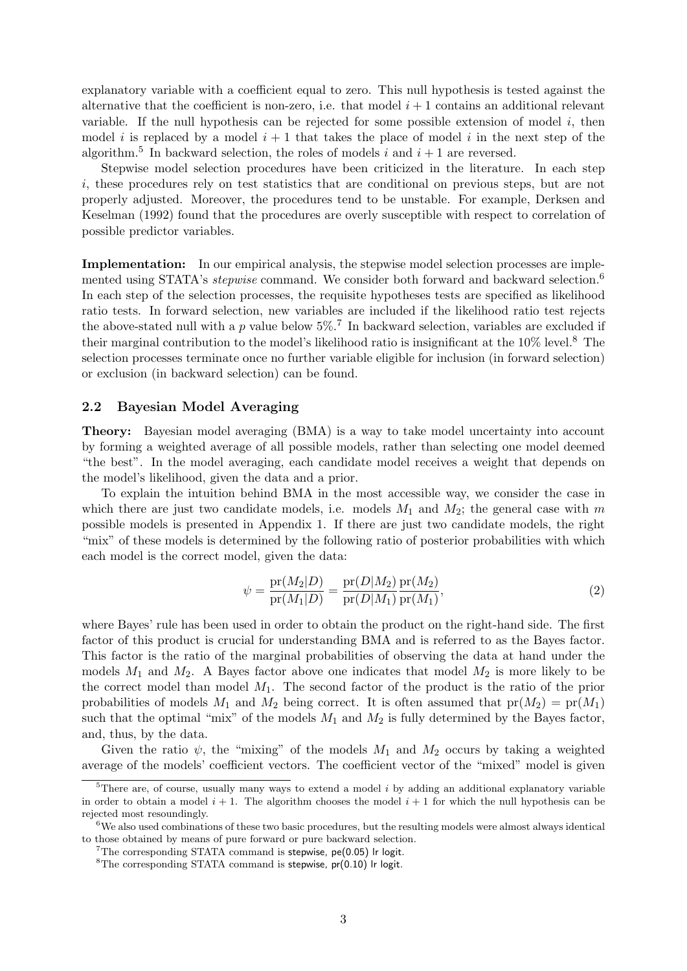explanatory variable with a coefficient equal to zero. This null hypothesis is tested against the alternative that the coefficient is non-zero, i.e. that model  $i + 1$  contains an additional relevant variable. If the null hypothesis can be rejected for some possible extension of model  $i$ , then model i is replaced by a model  $i + 1$  that takes the place of model i in the next step of the algorithm.<sup>[5](#page-2-0)</sup> In backward selection, the roles of models i and  $i + 1$  are reversed.

Stepwise model selection procedures have been criticized in the literature. In each step i, these procedures rely on test statistics that are conditional on previous steps, but are not properly adjusted. Moreover, the procedures tend to be unstable. For example, [Derksen and](#page-9-0) [Keselman](#page-9-0) [\(1992\)](#page-9-0) found that the procedures are overly susceptible with respect to correlation of possible predictor variables.

Implementation: In our empirical analysis, the stepwise model selection processes are implemented using STATA's *stepwise* command. We consider both forward and backward selection.<sup>[6](#page-2-1)</sup> In each step of the selection processes, the requisite hypotheses tests are specified as likelihood ratio tests. In forward selection, new variables are included if the likelihood ratio test rejects the above-stated null with a p value below  $5\%$ .<sup>[7](#page-2-2)</sup> In backward selection, variables are excluded if their marginal contribution to the model's likelihood ratio is insignificant at the  $10\%$  level.<sup>[8](#page-2-3)</sup> The selection processes terminate once no further variable eligible for inclusion (in forward selection) or exclusion (in backward selection) can be found.

#### 2.2 Bayesian Model Averaging

Theory: Bayesian model averaging (BMA) is a way to take model uncertainty into account by forming a weighted average of all possible models, rather than selecting one model deemed "the best". In the model averaging, each candidate model receives a weight that depends on the model's likelihood, given the data and a prior.

To explain the intuition behind BMA in the most accessible way, we consider the case in which there are just two candidate models, i.e. models  $M_1$  and  $M_2$ ; the general case with m possible models is presented in Appendix 1. If there are just two candidate models, the right "mix" of these models is determined by the following ratio of posterior probabilities with which each model is the correct model, given the data:

$$
\psi = \frac{\text{pr}(M_2|D)}{\text{pr}(M_1|D)} = \frac{\text{pr}(D|M_2)}{\text{pr}(D|M_1)} \frac{\text{pr}(M_2)}{\text{pr}(M_1)},\tag{2}
$$

where Bayes' rule has been used in order to obtain the product on the right-hand side. The first factor of this product is crucial for understanding BMA and is referred to as the Bayes factor. This factor is the ratio of the marginal probabilities of observing the data at hand under the models  $M_1$  and  $M_2$ . A Bayes factor above one indicates that model  $M_2$  is more likely to be the correct model than model  $M_1$ . The second factor of the product is the ratio of the prior probabilities of models  $M_1$  and  $M_2$  being correct. It is often assumed that  $pr(M_2) = pr(M_1)$ such that the optimal "mix" of the models  $M_1$  and  $M_2$  is fully determined by the Bayes factor, and, thus, by the data.

Given the ratio  $\psi$ , the "mixing" of the models  $M_1$  and  $M_2$  occurs by taking a weighted average of the models' coefficient vectors. The coefficient vector of the "mixed" model is given

<span id="page-2-0"></span> $5$ There are, of course, usually many ways to extend a model i by adding an additional explanatory variable in order to obtain a model  $i + 1$ . The algorithm chooses the model  $i + 1$  for which the null hypothesis can be rejected most resoundingly.

<span id="page-2-1"></span><sup>6</sup>We also used combinations of these two basic procedures, but the resulting models were almost always identical to those obtained by means of pure forward or pure backward selection.

<span id="page-2-2"></span> $7$ The corresponding STATA command is stepwise, pe(0.05) lr logit.

<span id="page-2-3"></span> ${}^{8}$ The corresponding STATA command is stepwise, pr(0.10) lr logit.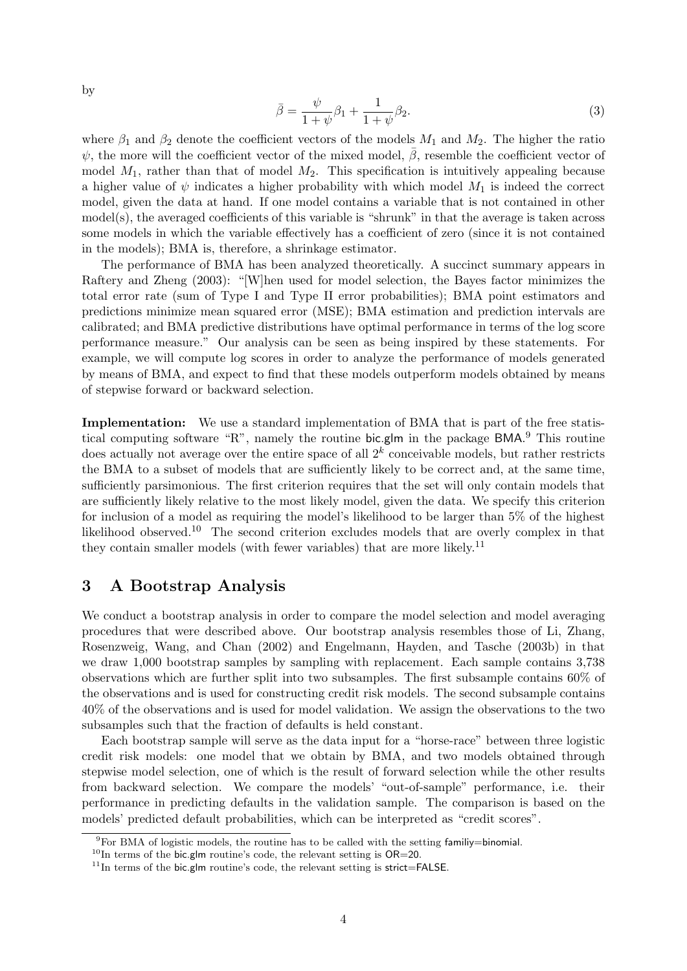by

$$
\bar{\beta} = \frac{\psi}{1+\psi}\beta_1 + \frac{1}{1+\psi}\beta_2.
$$
\n(3)

where  $\beta_1$  and  $\beta_2$  denote the coefficient vectors of the models  $M_1$  and  $M_2$ . The higher the ratio  $\psi$ , the more will the coefficient vector of the mixed model,  $\beta$ , resemble the coefficient vector of model  $M_1$ , rather than that of model  $M_2$ . This specification is intuitively appealing because a higher value of  $\psi$  indicates a higher probability with which model  $M_1$  is indeed the correct model, given the data at hand. If one model contains a variable that is not contained in other model(s), the averaged coefficients of this variable is "shrunk" in that the average is taken across some models in which the variable effectively has a coefficient of zero (since it is not contained in the models); BMA is, therefore, a shrinkage estimator.

The performance of BMA has been analyzed theoretically. A succinct summary appears in [Raftery and Zheng](#page-10-4) [\(2003\)](#page-10-4): "[W]hen used for model selection, the Bayes factor minimizes the total error rate (sum of Type I and Type II error probabilities); BMA point estimators and predictions minimize mean squared error (MSE); BMA estimation and prediction intervals are calibrated; and BMA predictive distributions have optimal performance in terms of the log score performance measure." Our analysis can be seen as being inspired by these statements. For example, we will compute log scores in order to analyze the performance of models generated by means of BMA, and expect to find that these models outperform models obtained by means of stepwise forward or backward selection.

Implementation: We use a standard implementation of BMA that is part of the free statis-tical computing software "R", namely the routine bic.glm in the package BMA.<sup>[9](#page-3-0)</sup> This routine does actually not average over the entire space of all  $2<sup>k</sup>$  conceivable models, but rather restricts the BMA to a subset of models that are sufficiently likely to be correct and, at the same time, sufficiently parsimonious. The first criterion requires that the set will only contain models that are sufficiently likely relative to the most likely model, given the data. We specify this criterion for inclusion of a model as requiring the model's likelihood to be larger than 5% of the highest likelihood observed.[10](#page-3-1) The second criterion excludes models that are overly complex in that they contain smaller models (with fewer variables) that are more likely.<sup>[11](#page-3-2)</sup>

## 3 A Bootstrap Analysis

We conduct a bootstrap analysis in order to compare the model selection and model averaging procedures that were described above. Our bootstrap analysis resembles those of [Li, Zhang,](#page-10-5) [Rosenzweig, Wang, and Chan](#page-10-5) [\(2002\)](#page-10-5) and [Engelmann, Hayden, and Tasche](#page-10-6) [\(2003b\)](#page-10-6) in that we draw 1,000 bootstrap samples by sampling with replacement. Each sample contains 3,738 observations which are further split into two subsamples. The first subsample contains 60% of the observations and is used for constructing credit risk models. The second subsample contains 40% of the observations and is used for model validation. We assign the observations to the two subsamples such that the fraction of defaults is held constant.

Each bootstrap sample will serve as the data input for a "horse-race" between three logistic credit risk models: one model that we obtain by BMA, and two models obtained through stepwise model selection, one of which is the result of forward selection while the other results from backward selection. We compare the models' "out-of-sample" performance, i.e. their performance in predicting defaults in the validation sample. The comparison is based on the models' predicted default probabilities, which can be interpreted as "credit scores".

<span id="page-3-0"></span> $9F$ or BMA of logistic models, the routine has to be called with the setting familiy=binomial.

<span id="page-3-1"></span> $10$ In terms of the bic.glm routine's code, the relevant setting is OR=20.

<span id="page-3-2"></span> $11$ In terms of the bic.glm routine's code, the relevant setting is strict=FALSE.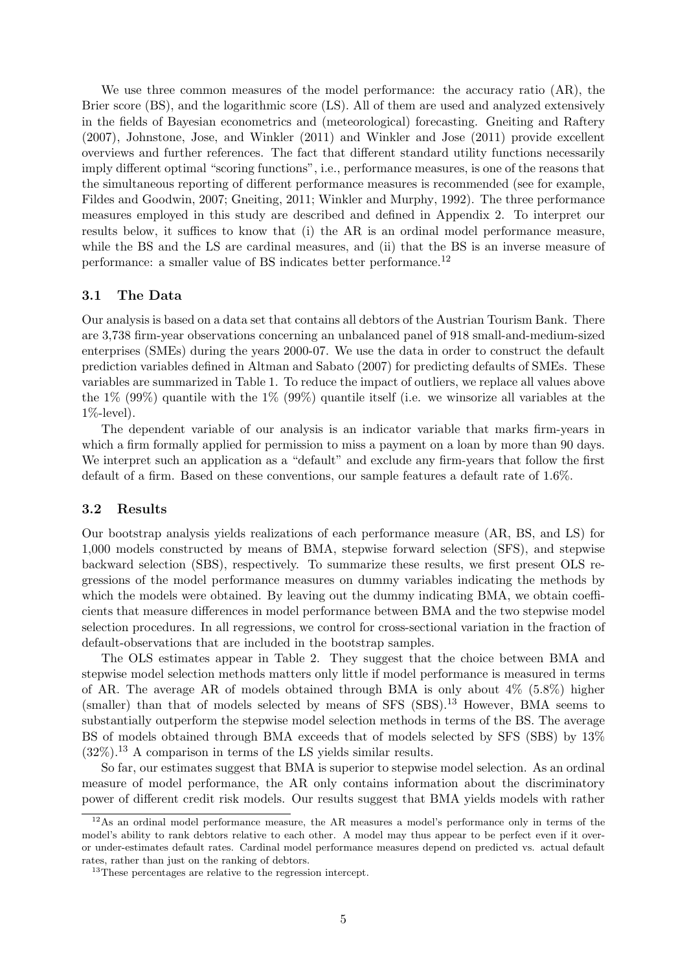We use three common measures of the model performance: the accuracy ratio (AR), the Brier score (BS), and the logarithmic score (LS). All of them are used and analyzed extensively in the fields of Bayesian econometrics and (meteorological) forecasting. [Gneiting and Raftery](#page-10-7) [\(2007\)](#page-10-7), [Johnstone, Jose, and Winkler](#page-10-8) [\(2011\)](#page-10-8) and [Winkler and Jose](#page-10-9) [\(2011\)](#page-10-9) provide excellent overviews and further references. The fact that different standard utility functions necessarily imply different optimal "scoring functions", i.e., performance measures, is one of the reasons that the simultaneous reporting of different performance measures is recommended (see for example, [Fildes and Goodwin,](#page-10-10) [2007;](#page-10-10) [Gneiting,](#page-10-11) [2011;](#page-10-11) [Winkler and Murphy,](#page-10-12) [1992\)](#page-10-12). The three performance measures employed in this study are described and defined in Appendix 2. To interpret our results below, it suffices to know that (i) the AR is an ordinal model performance measure, while the BS and the LS are cardinal measures, and (ii) that the BS is an inverse measure of performance: a smaller value of BS indicates better performance.[12](#page-4-0)

### 3.1 The Data

Our analysis is based on a data set that contains all debtors of the Austrian Tourism Bank. There are 3,738 firm-year observations concerning an unbalanced panel of 918 small-and-medium-sized enterprises (SMEs) during the years 2000-07. We use the data in order to construct the default prediction variables defined in [Altman and Sabato](#page-9-1) [\(2007\)](#page-9-1) for predicting defaults of SMEs. These variables are summarized in Table [1.](#page-5-0) To reduce the impact of outliers, we replace all values above the  $1\%$  (99%) quantile with the  $1\%$  (99%) quantile itself (i.e. we winsorize all variables at the 1%-level).

The dependent variable of our analysis is an indicator variable that marks firm-years in which a firm formally applied for permission to miss a payment on a loan by more than 90 days. We interpret such an application as a "default" and exclude any firm-years that follow the first default of a firm. Based on these conventions, our sample features a default rate of 1.6%.

#### 3.2 Results

Our bootstrap analysis yields realizations of each performance measure (AR, BS, and LS) for 1,000 models constructed by means of BMA, stepwise forward selection (SFS), and stepwise backward selection (SBS), respectively. To summarize these results, we first present OLS regressions of the model performance measures on dummy variables indicating the methods by which the models were obtained. By leaving out the dummy indicating BMA, we obtain coefficients that measure differences in model performance between BMA and the two stepwise model selection procedures. In all regressions, we control for cross-sectional variation in the fraction of default-observations that are included in the bootstrap samples.

The OLS estimates appear in Table [2.](#page-6-0) They suggest that the choice between BMA and stepwise model selection methods matters only little if model performance is measured in terms of AR. The average AR of models obtained through BMA is only about  $4\%$  (5.8%) higher  $(smaller)$  than that of models selected by means of SFS  $(SBS)$ <sup>[13](#page-4-1)</sup> However, BMA seems to substantially outperform the stepwise model selection methods in terms of the BS. The average BS of models obtained through BMA exceeds that of models selected by SFS (SBS) by 13%  $(32\%)$ <sup>[13](#page-4-1)</sup> A comparison in terms of the LS yields similar results.

So far, our estimates suggest that BMA is superior to stepwise model selection. As an ordinal measure of model performance, the AR only contains information about the discriminatory power of different credit risk models. Our results suggest that BMA yields models with rather

<span id="page-4-0"></span> $12\text{As}$  an ordinal model performance measure, the AR measures a model's performance only in terms of the model's ability to rank debtors relative to each other. A model may thus appear to be perfect even if it overor under-estimates default rates. Cardinal model performance measures depend on predicted vs. actual default rates, rather than just on the ranking of debtors.

<span id="page-4-1"></span><sup>&</sup>lt;sup>13</sup>These percentages are relative to the regression intercept.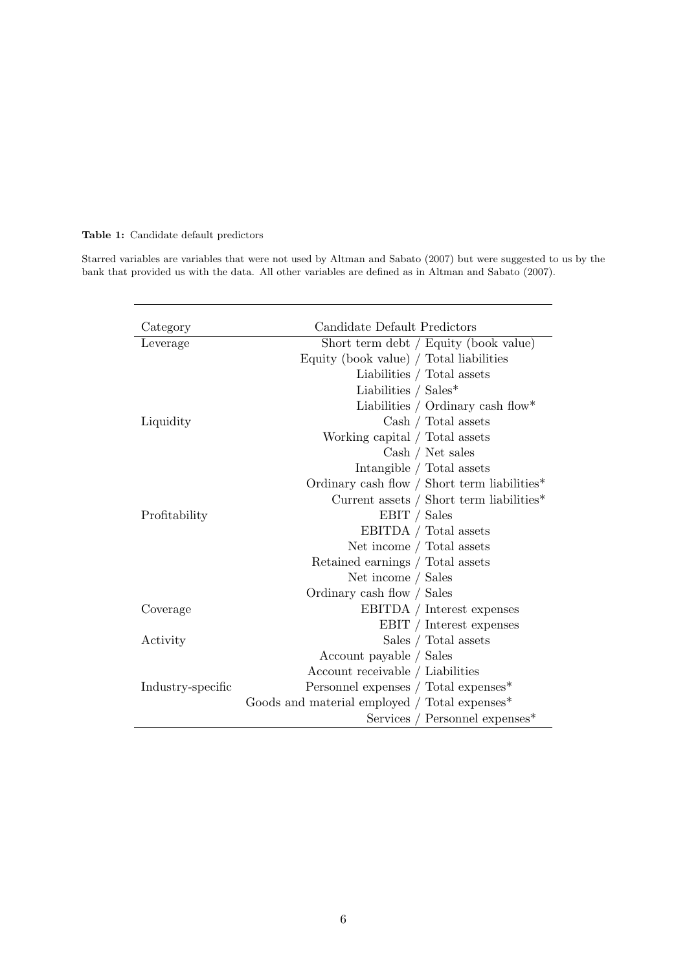### <span id="page-5-0"></span>Table 1: Candidate default predictors

Starred variables are variables that were not used by [Altman and Sabato](#page-9-1) [\(2007\)](#page-9-1) but were suggested to us by the bank that provided us with the data. All other variables are defined as in [Altman and Sabato](#page-9-1) [\(2007\)](#page-9-1).

| Category          | Candidate Default Predictors                  |  |  |
|-------------------|-----------------------------------------------|--|--|
| Leverage          | Short term debt / Equity (book value)         |  |  |
|                   | Equity (book value) / Total liabilities       |  |  |
|                   | Liabilities / Total assets                    |  |  |
|                   | Liabilities / $Sales*$                        |  |  |
|                   | Liabilities / Ordinary cash flow*             |  |  |
| Liquidity         | Cash / Total assets                           |  |  |
|                   | Working capital / Total assets                |  |  |
|                   | Cash / Net sales                              |  |  |
|                   | Intangible / Total assets                     |  |  |
|                   | Ordinary cash flow / Short term liabilities*  |  |  |
|                   | Current assets / Short term liabilities $*$   |  |  |
| Profitability     | EBIT / Sales                                  |  |  |
|                   | EBITDA / Total assets                         |  |  |
|                   | Net income / Total assets                     |  |  |
|                   | Retained earnings / Total assets              |  |  |
|                   | Net income / Sales                            |  |  |
|                   | Ordinary cash flow / Sales                    |  |  |
| Coverage          | EBITDA / Interest expenses                    |  |  |
|                   | EBIT / Interest expenses                      |  |  |
| Activity          | Sales / Total assets                          |  |  |
|                   | Account payable / Sales                       |  |  |
|                   | Account receivable / Liabilities              |  |  |
| Industry-specific | Personnel expenses / Total expenses*          |  |  |
|                   | Goods and material employed / Total expenses* |  |  |
|                   | Services / Personnel expenses*                |  |  |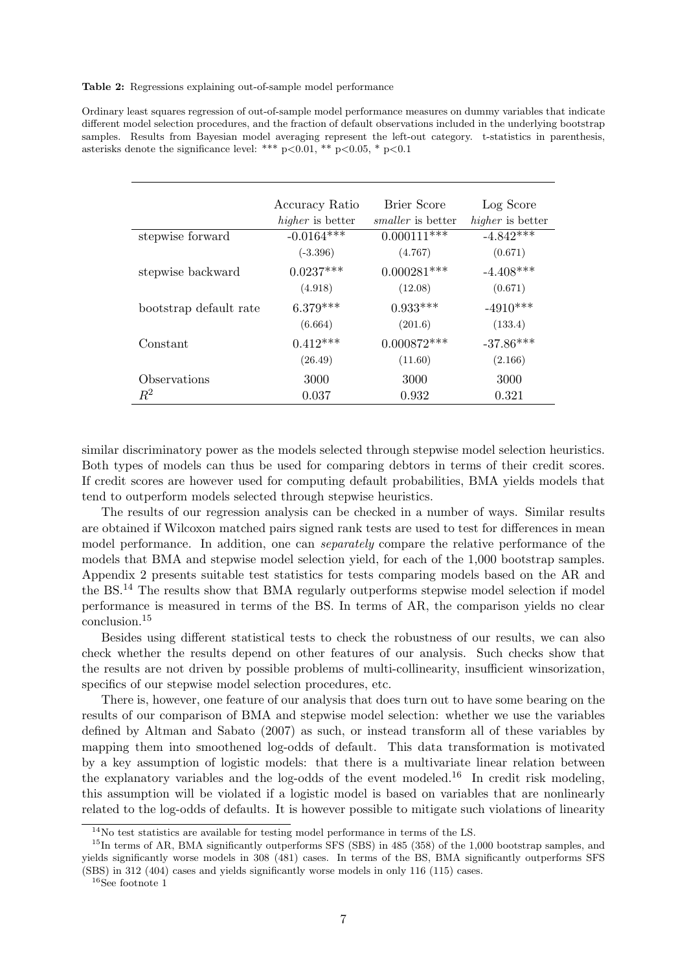<span id="page-6-0"></span>Table 2: Regressions explaining out-of-sample model performance

Ordinary least squares regression of out-of-sample model performance measures on dummy variables that indicate different model selection procedures, and the fraction of default observations included in the underlying bootstrap samples. Results from Bayesian model averaging represent the left-out category. t-statistics in parenthesis, asterisks denote the significance level: \*\*\*  $p<0.01$ , \*\*  $p<0.05$ , \*  $p<0.1$ 

|                        | Accuracy Ratio<br>higher is better | Brier Score<br><i>smaller</i> is better | Log Score<br>higher is better |
|------------------------|------------------------------------|-----------------------------------------|-------------------------------|
| stepwise forward       | $-0.0164***$                       | $0.000111***$                           | $-4.842***$                   |
|                        | $(-3.396)$                         | (4.767)                                 | (0.671)                       |
| stepwise backward      | $0.0237***$                        | $0.000281***$                           | $-4.408***$                   |
|                        | (4.918)                            | (12.08)                                 | (0.671)                       |
| bootstrap default rate | $6.379***$                         | $0.933***$                              | $-4910***$                    |
|                        | (6.664)                            | (201.6)                                 | (133.4)                       |
| Constant               | $0.412***$                         | $0.000872***$                           | $-37.86***$                   |
|                        | (26.49)                            | (11.60)                                 | (2.166)                       |
| Observations           | 3000                               | 3000                                    | 3000                          |
| $R^2$                  | 0.037                              | 0.932                                   | 0.321                         |

similar discriminatory power as the models selected through stepwise model selection heuristics. Both types of models can thus be used for comparing debtors in terms of their credit scores. If credit scores are however used for computing default probabilities, BMA yields models that tend to outperform models selected through stepwise heuristics.

The results of our regression analysis can be checked in a number of ways. Similar results are obtained if Wilcoxon matched pairs signed rank tests are used to test for differences in mean model performance. In addition, one can separately compare the relative performance of the models that BMA and stepwise model selection yield, for each of the 1,000 bootstrap samples. Appendix 2 presents suitable test statistics for tests comparing models based on the AR and the BS.[14](#page-6-1) The results show that BMA regularly outperforms stepwise model selection if model performance is measured in terms of the BS. In terms of AR, the comparison yields no clear conclusion.[15](#page-6-2)

Besides using different statistical tests to check the robustness of our results, we can also check whether the results depend on other features of our analysis. Such checks show that the results are not driven by possible problems of multi-collinearity, insufficient winsorization, specifics of our stepwise model selection procedures, etc.

There is, however, one feature of our analysis that does turn out to have some bearing on the results of our comparison of BMA and stepwise model selection: whether we use the variables defined by [Altman and Sabato](#page-9-1) [\(2007\)](#page-9-1) as such, or instead transform all of these variables by mapping them into smoothened log-odds of default. This data transformation is motivated by a key assumption of logistic models: that there is a multivariate linear relation between the explanatory variables and the log-odds of the event modeled.<sup>[16](#page-6-3)</sup> In credit risk modeling, this assumption will be violated if a logistic model is based on variables that are nonlinearly related to the log-odds of defaults. It is however possible to mitigate such violations of linearity

<span id="page-6-2"></span><span id="page-6-1"></span><sup>&</sup>lt;sup>14</sup>No test statistics are available for testing model performance in terms of the LS.

 $^{15}$ In terms of AR, BMA significantly outperforms SFS (SBS) in 485 (358) of the 1,000 bootstrap samples, and yields significantly worse models in 308 (481) cases. In terms of the BS, BMA significantly outperforms SFS (SBS) in 312 (404) cases and yields significantly worse models in only 116 (115) cases.

<span id="page-6-3"></span><sup>16</sup>See footnote 1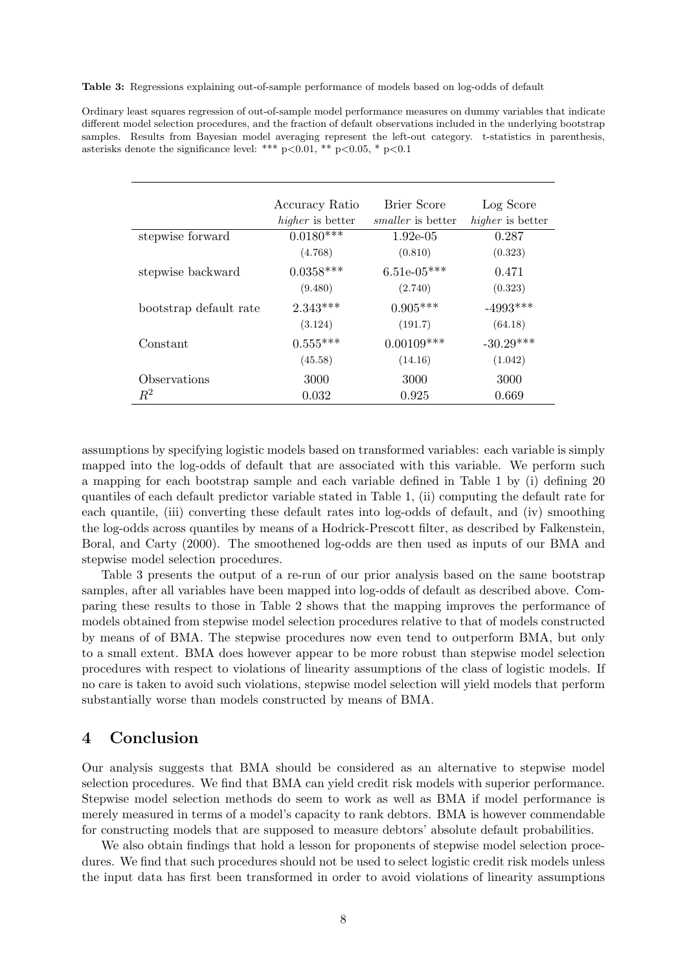<span id="page-7-0"></span>Table 3: Regressions explaining out-of-sample performance of models based on log-odds of default

Ordinary least squares regression of out-of-sample model performance measures on dummy variables that indicate different model selection procedures, and the fraction of default observations included in the underlying bootstrap samples. Results from Bayesian model averaging represent the left-out category. t-statistics in parenthesis, asterisks denote the significance level: \*\*\*  $p<0.01$ , \*\*  $p<0.05$ , \*  $p<0.1$ 

|                        | Accuracy Ratio<br><i>higher</i> is better | Brier Score<br><i>smaller</i> is better | Log Score<br>higher is better |
|------------------------|-------------------------------------------|-----------------------------------------|-------------------------------|
| stepwise forward       | $0.0180***$                               | $1.92e-0.5$                             | 0.287                         |
|                        | (4.768)                                   | (0.810)                                 | (0.323)                       |
| stepwise backward      | $0.0358***$                               | $6.51e-05***$                           | 0.471                         |
|                        | (9.480)                                   | (2.740)                                 | (0.323)                       |
| bootstrap default rate | $2.343***$                                | $0.905***$                              | $-4993***$                    |
|                        | (3.124)                                   | (191.7)                                 | (64.18)                       |
| Constant               | $0.555***$                                | $0.00109***$                            | $-30.29***$                   |
|                        | (45.58)                                   | (14.16)                                 | (1.042)                       |
| Observations           | 3000                                      | 3000                                    | 3000                          |
| $R^2$                  | 0.032                                     | 0.925                                   | 0.669                         |

assumptions by specifying logistic models based on transformed variables: each variable is simply mapped into the log-odds of default that are associated with this variable. We perform such a mapping for each bootstrap sample and each variable defined in Table [1](#page-5-0) by (i) defining 20 quantiles of each default predictor variable stated in Table 1, (ii) computing the default rate for each quantile, (iii) converting these default rates into log-odds of default, and (iv) smoothing the log-odds across quantiles by means of a Hodrick-Prescott filter, as described by [Falkenstein,](#page-10-13) [Boral, and Carty](#page-10-13) [\(2000\)](#page-10-13). The smoothened log-odds are then used as inputs of our BMA and stepwise model selection procedures.

Table [3](#page-7-0) presents the output of a re-run of our prior analysis based on the same bootstrap samples, after all variables have been mapped into log-odds of default as described above. Comparing these results to those in Table [2](#page-6-0) shows that the mapping improves the performance of models obtained from stepwise model selection procedures relative to that of models constructed by means of of BMA. The stepwise procedures now even tend to outperform BMA, but only to a small extent. BMA does however appear to be more robust than stepwise model selection procedures with respect to violations of linearity assumptions of the class of logistic models. If no care is taken to avoid such violations, stepwise model selection will yield models that perform substantially worse than models constructed by means of BMA.

## 4 Conclusion

Our analysis suggests that BMA should be considered as an alternative to stepwise model selection procedures. We find that BMA can yield credit risk models with superior performance. Stepwise model selection methods do seem to work as well as BMA if model performance is merely measured in terms of a model's capacity to rank debtors. BMA is however commendable for constructing models that are supposed to measure debtors' absolute default probabilities.

We also obtain findings that hold a lesson for proponents of stepwise model selection procedures. We find that such procedures should not be used to select logistic credit risk models unless the input data has first been transformed in order to avoid violations of linearity assumptions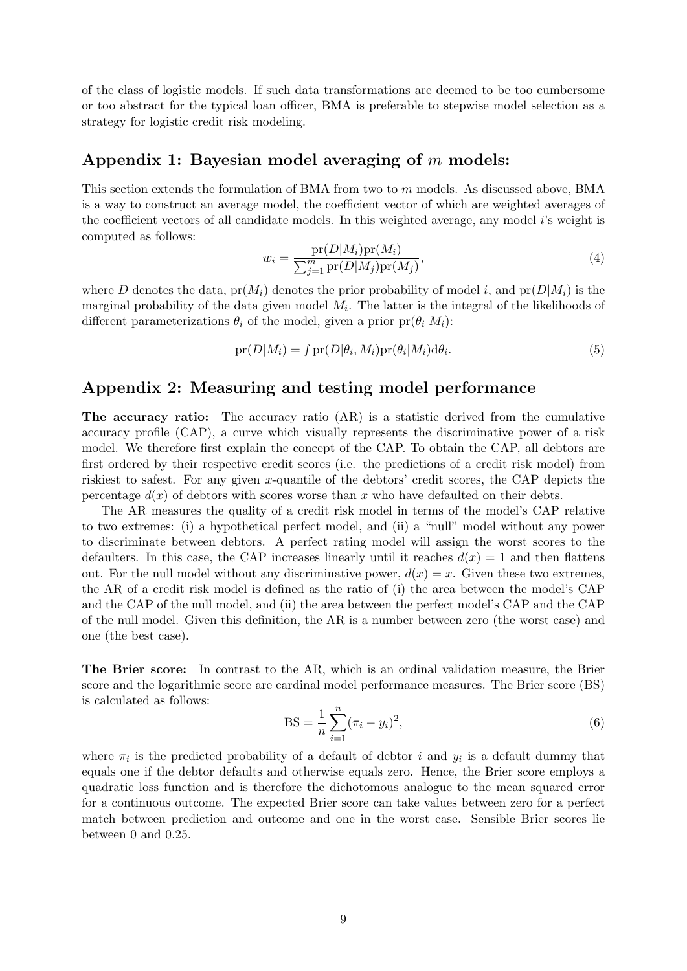of the class of logistic models. If such data transformations are deemed to be too cumbersome or too abstract for the typical loan officer, BMA is preferable to stepwise model selection as a strategy for logistic credit risk modeling.

### Appendix 1: Bayesian model averaging of  $m$  models:

This section extends the formulation of BMA from two to m models. As discussed above, BMA is a way to construct an average model, the coefficient vector of which are weighted averages of the coefficient vectors of all candidate models. In this weighted average, any model i's weight is computed as follows:

$$
w_i = \frac{\text{pr}(D|M_i)\text{pr}(M_i)}{\sum_{j=1}^{m} \text{pr}(D|M_j)\text{pr}(M_j)},\tag{4}
$$

where D denotes the data,  $pr(M_i)$  denotes the prior probability of model i, and  $pr(D|M_i)$  is the marginal probability of the data given model  $M_i$ . The latter is the integral of the likelihoods of different parameterizations  $\theta_i$  of the model, given a prior  $pr(\theta_i|M_i)$ :

$$
pr(D|M_i) = \int pr(D|\theta_i, M_i)pr(\theta_i|M_i)d\theta_i.
$$
\n(5)

### Appendix 2: Measuring and testing model performance

The accuracy ratio: The accuracy ratio (AR) is a statistic derived from the cumulative accuracy profile (CAP), a curve which visually represents the discriminative power of a risk model. We therefore first explain the concept of the CAP. To obtain the CAP, all debtors are first ordered by their respective credit scores (i.e. the predictions of a credit risk model) from riskiest to safest. For any given x-quantile of the debtors' credit scores, the CAP depicts the percentage  $d(x)$  of debtors with scores worse than x who have defaulted on their debts.

The AR measures the quality of a credit risk model in terms of the model's CAP relative to two extremes: (i) a hypothetical perfect model, and (ii) a "null" model without any power to discriminate between debtors. A perfect rating model will assign the worst scores to the defaulters. In this case, the CAP increases linearly until it reaches  $d(x) = 1$  and then flattens out. For the null model without any discriminative power,  $d(x) = x$ . Given these two extremes, the AR of a credit risk model is defined as the ratio of (i) the area between the model's CAP and the CAP of the null model, and (ii) the area between the perfect model's CAP and the CAP of the null model. Given this definition, the AR is a number between zero (the worst case) and one (the best case).

The Brier score: In contrast to the AR, which is an ordinal validation measure, the Brier score and the logarithmic score are cardinal model performance measures. The Brier score (BS) is calculated as follows:

BS = 
$$
\frac{1}{n} \sum_{i=1}^{n} (\pi_i - y_i)^2,
$$
 (6)

where  $\pi_i$  is the predicted probability of a default of debtor i and  $y_i$  is a default dummy that equals one if the debtor defaults and otherwise equals zero. Hence, the Brier score employs a quadratic loss function and is therefore the dichotomous analogue to the mean squared error for a continuous outcome. The expected Brier score can take values between zero for a perfect match between prediction and outcome and one in the worst case. Sensible Brier scores lie between 0 and 0.25.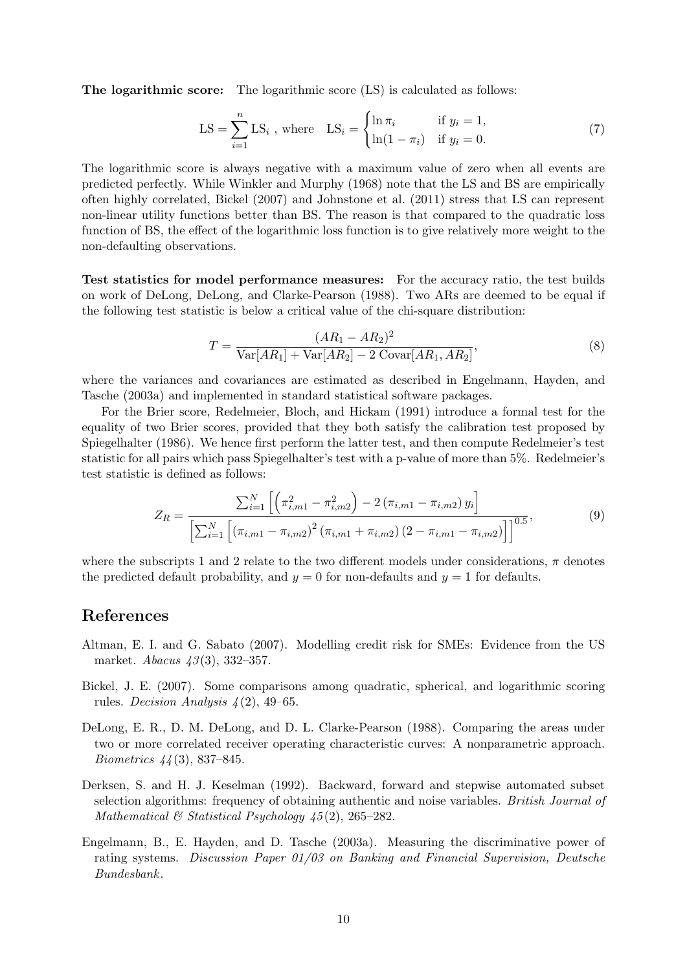The logarithmic score: The logarithmic score (LS) is calculated as follows:

$$
LS = \sum_{i=1}^{n} LS_i, \text{ where } LS_i = \begin{cases} \ln \pi_i & \text{if } y_i = 1, \\ \ln(1 - \pi_i) & \text{if } y_i = 0. \end{cases}
$$
 (7)

The logarithmic score is always negative with a maximum value of zero when all events are predicted perfectly. While [Winkler and Murphy](#page-10-14) [\(1968\)](#page-10-14) note that the LS and BS are empirically often highly correlated, [Bickel](#page-9-2) [\(2007\)](#page-9-2) and [Johnstone et al.](#page-10-8) [\(2011\)](#page-10-8) stress that LS can represent non-linear utility functions better than BS. The reason is that compared to the quadratic loss function of BS, the effect of the logarithmic loss function is to give relatively more weight to the non-defaulting observations.

Test statistics for model performance measures: For the accuracy ratio, the test builds on work of [DeLong, DeLong, and Clarke-Pearson](#page-9-3) [\(1988\)](#page-9-3). Two ARs are deemed to be equal if the following test statistic is below a critical value of the chi-square distribution:

$$
T = \frac{(AR_1 - AR_2)^2}{\text{Var}[AR_1] + \text{Var}[AR_2] - 2\text{Covar}[AR_1, AR_2]},
$$
\n(8)

where the variances and covariances are estimated as described in [Engelmann, Hayden, and](#page-9-4) [Tasche](#page-9-4) [\(2003a\)](#page-9-4) and implemented in standard statistical software packages.

For the Brier score, [Redelmeier, Bloch, and Hickam](#page-10-15) [\(1991\)](#page-10-15) introduce a formal test for the equality of two Brier scores, provided that they both satisfy the calibration test proposed by [Spiegelhalter](#page-10-16) [\(1986\)](#page-10-16). We hence first perform the latter test, and then compute Redelmeier's test statistic for all pairs which pass Spiegelhalter's test with a p-value of more than 5%. Redelmeier's test statistic is defined as follows:

$$
Z_R = \frac{\sum_{i=1}^{N} \left[ \left( \pi_{i,m1}^2 - \pi_{i,m2}^2 \right) - 2 \left( \pi_{i,m1} - \pi_{i,m2} \right) y_i \right]}{\left[ \sum_{i=1}^{N} \left[ \left( \pi_{i,m1} - \pi_{i,m2} \right)^2 \left( \pi_{i,m1} + \pi_{i,m2} \right) \left( 2 - \pi_{i,m1} - \pi_{i,m2} \right) \right] \right]^{0.5}},\tag{9}
$$

where the subscripts 1 and 2 relate to the two different models under considerations,  $\pi$  denotes the predicted default probability, and  $y = 0$  for non-defaults and  $y = 1$  for defaults.

### References

- <span id="page-9-1"></span>Altman, E. I. and G. Sabato (2007). Modelling credit risk for SMEs: Evidence from the US market. *Abacus* 43(3), 332–357.
- <span id="page-9-2"></span>Bickel, J. E. (2007). Some comparisons among quadratic, spherical, and logarithmic scoring rules. Decision Analysis  $\mathcal{L}(2)$ , 49–65.
- <span id="page-9-3"></span>DeLong, E. R., D. M. DeLong, and D. L. Clarke-Pearson (1988). Comparing the areas under two or more correlated receiver operating characteristic curves: A nonparametric approach. Biometrics 44 (3), 837–845.
- <span id="page-9-0"></span>Derksen, S. and H. J. Keselman (1992). Backward, forward and stepwise automated subset selection algorithms: frequency of obtaining authentic and noise variables. British Journal of Mathematical  $\mathcal B$  Statistical Psychology 45(2), 265–282.
- <span id="page-9-4"></span>Engelmann, B., E. Hayden, and D. Tasche (2003a). Measuring the discriminative power of rating systems. Discussion Paper  $01/03$  on Banking and Financial Supervision, Deutsche Bundesbank.